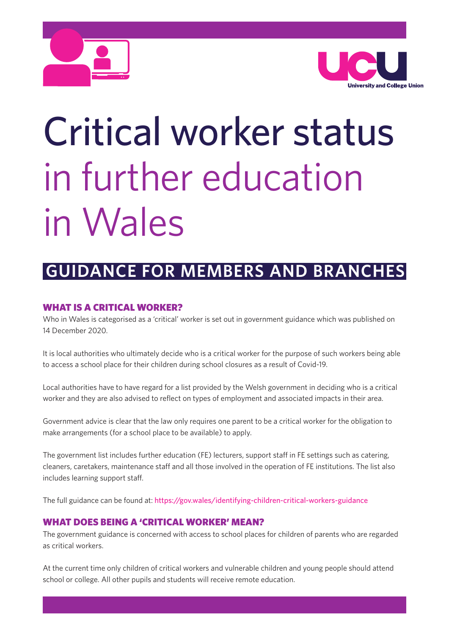



# Critical worker status in further education in Wales

# **GUIDANCE FOR MEMBERS AND BRANCHES**

## **WHAT IS A CRITICAL WORKER?**

Who in Wales is categorised as a 'critical' worker is set out in government guidance which was published on 14 December 2020.

It is local authorities who ultimately decide who is a critical worker for the purpose of such workers being able to access a school place for their children during school closures as a result of Covid-19.

Local authorities have to have regard for a list provided by the Welsh government in deciding who is a critical worker and they are also advised to reflect on types of employment and associated impacts in their area.

Government advice is clear that the law only requires one parent to be a critical worker for the obligation to make arrangements (for a school place to be available) to apply.

The government list includes further education (FE) lecturers, support staff in FE settings such as catering, cleaners, caretakers, maintenance staff and all those involved in the operation of FE institutions. The list also includes learning support staff.

The full guidance can be found at: https://gov.wales/identifying-children-critical-workers-guidance

### **WHAT DOES BEING A 'CRITICAL WORKER' MEAN?**

The government guidance is concerned with access to school places for children of parents who are regarded as critical workers.

At the current time only children of critical workers and vulnerable children and young people should attend school or college. All other pupils and students will receive remote education.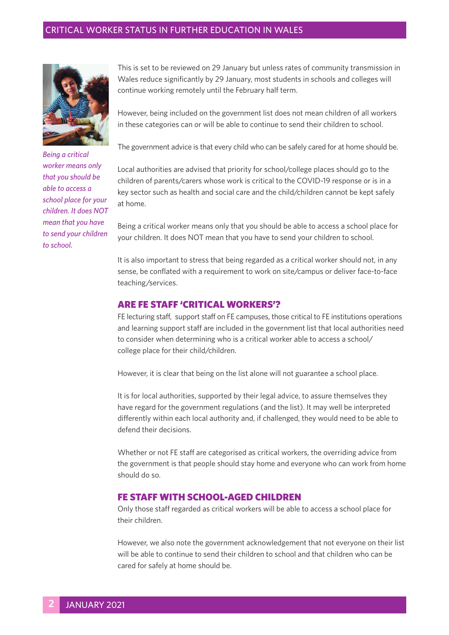#### CRITICAL WORKER STATUS IN FURTHER EDUCATION IN WALES



*Being a critical worker means only that you should be able to access a school place for your children. It does NOT mean that you have to send your children to school.*

This is set to be reviewed on 29 January but unless rates of community transmission in Wales reduce significantly by 29 January, most students in schools and colleges will continue working remotely until the February half term.

However, being included on the government list does not mean children of all workers in these categories can or will be able to continue to send their children to school.

The government advice is that every child who can be safely cared for at home should be.

Local authorities are advised that priority for school/college places should go to the children of parents/carers whose work is critical to the COVID-19 response or is in a key sector such as health and social care and the child/children cannot be kept safely at home.

Being a critical worker means only that you should be able to access a school place for your children. It does NOT mean that you have to send your children to school.

It is also important to stress that being regarded as a critical worker should not, in any sense, be conflated with a requirement to work on site/campus or deliver face-to-face teaching/services.

#### **ARE FE STAFF 'CRITICAL WORKERS'?**

FE lecturing staff, support staff on FE campuses, those critical to FE institutions operations and learning support staff are included in the government list that local authorities need to consider when determining who is a critical worker able to access a school/ college place for their child/children.

However, it is clear that being on the list alone will not guarantee a school place.

It is for local authorities, supported by their legal advice, to assure themselves they have regard for the government regulations (and the list). It may well be interpreted differently within each local authority and, if challenged, they would need to be able to defend their decisions.

Whether or not FE staff are categorised as critical workers, the overriding advice from the government is that people should stay home and everyone who can work from home should do so.

#### **FE STAFF WITH SCHOOL-AGED CHILDREN**

Only those staff regarded as critical workers will be able to access a school place for their children.

However, we also note the government acknowledgement that not everyone on their list will be able to continue to send their children to school and that children who can be cared for safely at home should be.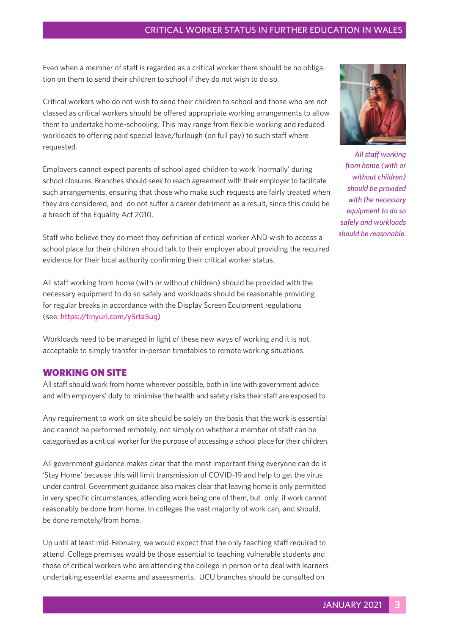#### CRITICAL WORKER STATUS IN FURTHER EDUCATION IN WALES

Even when a member of staff is regarded as a critical worker there should be no obligation on them to send their children to school if they do not wish to do so.

Critical workers who do not wish to send their children to school and those who are not classed as critical workers should be offered appropriate working arrangements to allow them to undertake home-schooling. This may range from flexible working and reduced workloads to offering paid special leave/furlough (on full pay) to such staff where requested.

Employers cannot expect parents of school aged children to work 'normally' during school closures. Branches should seek to reach agreement with their employer to facilitate such arrangements, ensuring that those who make such requests are fairly treated when they are considered, and do not suffer a career detriment as a result, since this could be a breach of the Equality Act 2010.

Staff who believe they do meet they definition of critical worker AND wish to access a school place for their children should talk to their employer about providing the required evidence for their local authority confirming their critical worker status.

All staff working from home (with or without children) should be provided with the necessary equipment to do so safely and workloads should be reasonable providing for regular breaks in accordance with the Display Screen Equipment regulations (see: https://tinyurl.com/y5rta5uq)

Workloads need to be managed in light of these new ways of working and it is not acceptable to simply transfer in-person timetables to remote working situations.

#### **WORKING ON SITE**

All staff should work from home wherever possible, both in line with government advice and with employers' duty to minimise the health and safety risks their staff are exposed to.

Any requirement to work on site should be solely on the basis that the work is essential and cannot be performed remotely, not simply on whether a member of staff can be categorised as a critical worker for the purpose of accessing a school place for their children.

All government guidance makes clear that the most important thing everyone can do is 'Stay Home' because this will limit transmission of COVID-19 and help to get the virus under control. Government guidance also makes clear that leaving home is only permitted in very specific circumstances, attending work being one of them, but only if work cannot reasonably be done from home. In colleges the vast majority of work can, and should, be done remotely/from home.

Up until at least mid-February, we would expect that the only teaching staff required to attend College premises would be those essential to teaching vulnerable students and those of critical workers who are attending the college in person or to deal with learners undertaking essential exams and assessments. UCU branches should be consulted on



*All staff working from home (with or without children) should be provided with the necessary equipment to do so safely and workloads should be reasonable.*